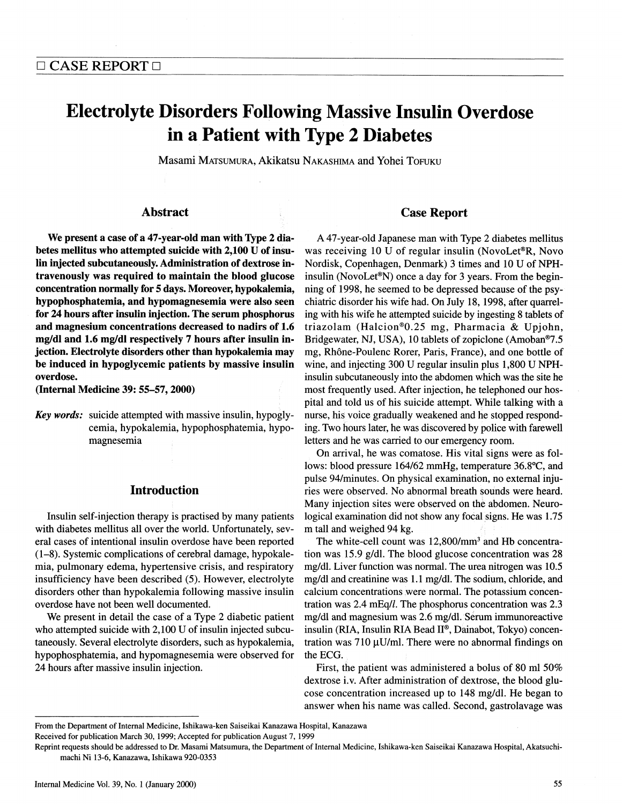## **Electrolyte Disorders Following Massive Insulin Overdose** in a Patient with Type 2 Diabetes  $\frac{1}{\sqrt{2}}$  is a patient with type 2 Diabetes

Masami Matsumura, Akikatsu Nakashima and Yohei Tofuku

# Abbrid<sub>u</sub>

We present a case of a 47-year-old man with Type 2 dia-<br>betes mellitus who attempted suicide with 2,100 U of insulin injected subcutaneously. Administration of dextrose intravenously was required to maintain the blood glucose concentration normally for 5 days. Moreover, hypokalemia, hypophosphatemia, and hypomagnesemia were also seen for 24 hours after insulin injection. The serum phosphorus and magnesium concentrations decreased to nadirs of 1.6 mg/dl and 1.6 mg/dl respectively 7 hours after insulin injection. Electrolyte disorders other than hypokalemia may be induced in hypoglycemic patients by massive insulin overdose.

(Internal Medicine 39: 55-57, 2000) (Internal Medicine 39: 55-57, 2000)

**Key words:** suicide attempted with massive insulin, hypogly $k$ ey words: suicide attenuation with  $\frac{1}{k}$  $\frac{1}{2}$  cemia,  $\frac{1}{2}$  for  $\frac{1}{2}$ ,  $\frac{1}{2}$  for  $\frac{1}{2}$ ,  $\frac{1}{2}$  for  $\frac{1}{2}$ ,  $\frac{1}{2}$ ,  $\frac{1}{2}$ magnesemia

#### Introduction

Insulin self-injection therapy is practised by many patients with diabetes mellitus all over the world. Unfortunately, several cases of intentional insulin overdose have been reported.  $(1-8)$ . Systemic complications of cerebral damage, hypokalemia, pulmonary edema, hypertensive crisis, and respiratory insufficiency have been described (5). However, electrolyte disorders other than hypokalemia following massive insulin overdose have not been well documented.

We present in detail the case of a Type 2 diabetic patient who attempted suicide with  $2,100$  U of insulin injected subcutaneously. Several electrolyte disorders, such as hypokalemia, hypophosphatemia, and hypomagnesemia were observed for 24 hours after massive insulin injection. 24 hours after massive insulin injection.

#### Case Report

A 47-year-old Japanese man with Type 2 diabetes mellitus was receiving 10 U of regular insulin (NovoLet®R, Novo Nordisk, Copenhagen, Denmark) 3 times and 10 U of NPHinsulin (NovoLet<sup>®</sup>N) once a day for 3 years. From the beginning of 1998, he seemed to be depressed because of the psychiatric disorder his wife had. On July 18, 1998, after quarreling with his wife he attempted suicide by ingesting 8 tablets of triazolam (Halcion®0.25 mg, Pharmacia & Upiohn, Bridgewater, NJ, USA), 10 tablets of zopiclone (Amoban®7.5 mg, Rhône-Poulenc Rorer, Paris, France), and one bottle of wine, and injecting 300 U regular insulin plus 1,800 U NPHinsulin subcutaneously into the abdomen which was the site he most frequently used. After injection, he telephoned our hospital and told us of his suicide attempt. While talking with a nurse, his voice gradually weakened and he stopped responding. Two hours later, he was discovered by police with farewell letters and he was carried to our emergency room.

On arrival, he was comatose. His vital signs were as follows: blood pressure 164/62 mmHg, temperature 36.8°C, and pulse 94/minutes. On physical examination, no external injuries were observed. No abnormal breath sounds were heard. Many injection sites were observed on the abdomen. Neurological examination did not show any focal signs. He was 1.75 m tall and weighed 94 kg.

The white-cell count was  $12,800/\text{mm}^3$  and Hb concentration was 15.9  $g/dl$ . The blood glucose concentration was 28 mg/dl. Liver function was normal. The urea nitrogen was 10.5 mg/dl and creatinine was 1.1 mg/dl. The sodium, chloride, and calcium concentrations were normal. The potassium concentration was  $2.4 \text{ mEq/l}$ . The phosphorus concentration was  $2.3$ mg/dl and magnesium was 2.6 mg/dl. Serum immunoreactive mg/di and magnesium was 2.6 mg/di. Serum immunoreactive tration was  $710 \mu U/ml$ . There were no abnormal findings on the ECC  $\blacksquare$ mg/dl and magnesium was 2.6 mg/dl. Serum immunoreactive<br>insulin (RIA, Insulin RIA Bead II®, Dainabot, Tokyo) concentration was 710  $\mu$ U/ml. There were no abnormal findings on<br>the ECG.<br>First, the patient was administered

First, the patient was administered a bolus of 80 ml 50% dextrose i.v. After administration of dextrose, the blood glucose concentration increased up to 148 mg/dl. He began to answer when his name was called. Second, gastrolavage was answer whenhis namewas called. Second, gastrolavage was

From the Department of Internal Medicine, Ishikawa-ken Saiseikai Kanazawa Hospital, Kanazawa

Reprint requests should be addressed to Dr. Masami Matsumura, the Department of Internal Medicine, Ishikawa-ken Saiseikai Kanazawa Hospital, Akatsuchimachi Ni 13-6, Kanazawa, Ishikawa 920-0353 machi Ni 13-6, Kanazawa, Ishikawa 920-0353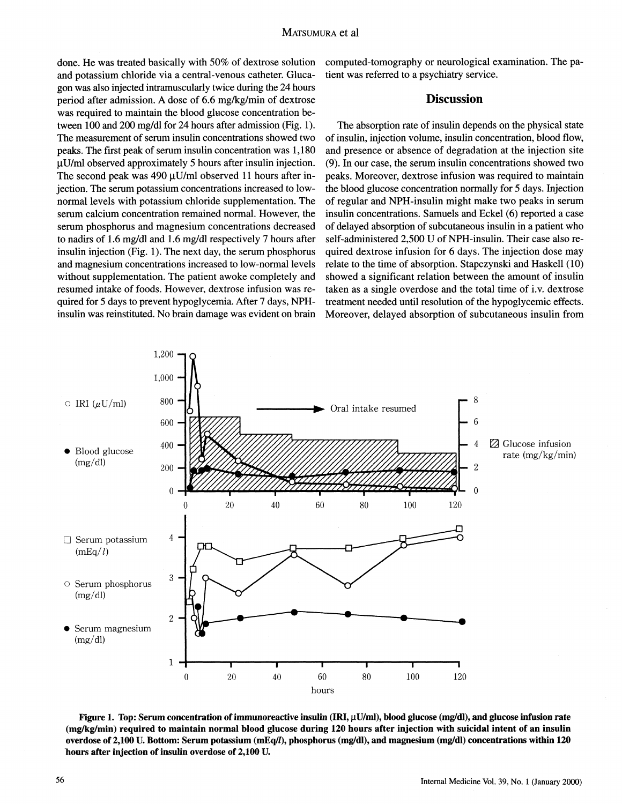done. He was treated basically with 50% of dextrose solution<br>and potassium chloride via a central-venous catheter. Glucagon was also injected intramuscularly twice during the 24 hours period after admission. A dose of 6.6 mg/kg/min of dextrose was required to maintain the blood glucose concentration between 100 and 200 mg/dl for 24 hours after admission (Fig. 1). The measurement of serum insulin concentrations showed two peaks. The first peak of serum insulin concentration was 1,180  $\mu$ U/ml observed approximately 5 hours after insulin injection. The second peak was 490  $\mu$ U/ml observed 11 hours after injection. The serum potassium concentrations increased to lownormal levels with potassium chloride supplementation. The serum calcium concentration remained normal. However, the serum phosphorus and magnesium concentrations decreased to nadirs of 1.6 mg/dl and 1.6 mg/dl respectively 7 hours after insulin injection (Fig. 1). The next day, the serum phosphorus and magnesium concentrations increased to low-normal levels without supplementation. The patient awoke completely and resumed intake of foods. However, dextrose infusion was required for 5 days to prevent hypoglycemia. After 7 days, NPHinsulin was reinstituted. No brain damage was evident on brain insulin was reinstituted. No brain damagewas evident on brain

computed-tomography or neurological examination. The pa-

### $\overline{D}$  is equal to  $\overline{D}$

The absorption rate of insulin depends on the physical state of insulin, injection volume, insulin concentration, blood flow, and presence or absence of degradation at the injection site  $(9)$ . In our case, the serum insulin concentrations showed two peaks. Moreover, dextrose infusion was required to maintain the blood glucose concentration normally for 5 days. Injection of regular and NPH-insulin might make two peaks in serum insulin concentrations. Samuels and Eckel (6) reported a case of delayed absorption of subcutaneous insulin in a patient who self-administered 2,500 U of NPH-insulin. Their case also required dextrose infusion for 6 days. The injection dose may relate to the time of absorption. Stapczynski and Haskell (10) showed a significant relation between the amount of insulin taken as a single overdose and the total time of i.v. dextrose treatment needed until resolution of the hypoglycemic effects. Moreover, delayed absorption of subcutaneous insulin from Moreover, delayed absorption of subcutaneous insulin from



Figure 1. Top: Serum concentration of immunoreactive insulin  $(IRI, \mu U/ml)$ , blood glucose (mg/dl), and glucose infusion rate (mg/kg/min) required to maintain normal blood glucose during 120 hours after injection with suicidal intent of an insulin overdose of 2.100 U. Bottom: Serum potassium (mEq(l), phosphorus (mg/dl), and magnesium (mg/dl) concentrations within 120 hours ofter injection of insulin overdose of 2,100 U. Bottom:  $\frac{1}{2}$ hours after injection of insulin overdose of 2,100 U.